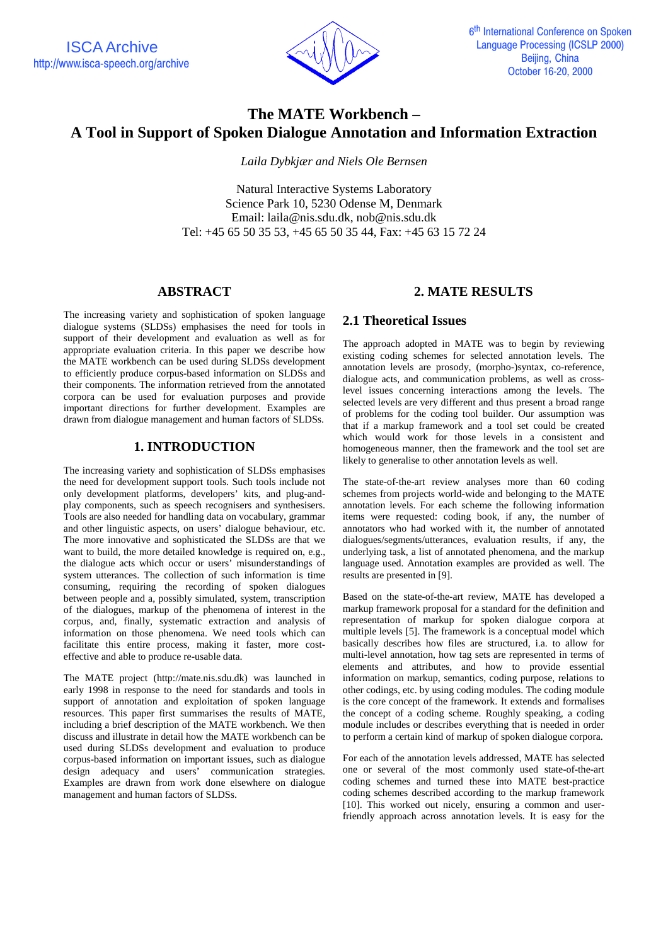

# **The MATE Workbench – A Tool in Support of Spoken Dialogue Annotation and Information Extraction**

*Laila Dybkjær and Niels Ole Bernsen*

Natural Interactive Systems Laboratory Science Park 10, 5230 Odense M, Denmark Email: laila@nis.sdu.dk, nob@nis.sdu.dk Tel: +45 65 50 35 53, +45 65 50 35 44, Fax: +45 63 15 72 24

#### **ABSTRACT**

The increasing variety and sophistication of spoken language dialogue systems (SLDSs) emphasises the need for tools in support of their development and evaluation as well as for appropriate evaluation criteria. In this paper we describe how the MATE workbench can be used during SLDSs development to efficiently produce corpus-based information on SLDSs and their components. The information retrieved from the annotated corpora can be used for evaluation purposes and provide important directions for further development. Examples are drawn from dialogue management and human factors of SLDSs.

# **1. INTRODUCTION**

The increasing variety and sophistication of SLDSs emphasises the need for development support tools. Such tools include not only development platforms, developers' kits, and plug-andplay components, such as speech recognisers and synthesisers. Tools are also needed for handling data on vocabulary, grammar and other linguistic aspects, on users' dialogue behaviour, etc. The more innovative and sophisticated the SLDSs are that we want to build, the more detailed knowledge is required on, e.g., the dialogue acts which occur or users' misunderstandings of system utterances. The collection of such information is time consuming, requiring the recording of spoken dialogues between people and a, possibly simulated, system, transcription of the dialogues, markup of the phenomena of interest in the corpus, and, finally, systematic extraction and analysis of information on those phenomena. We need tools which can facilitate this entire process, making it faster, more costeffective and able to produce re-usable data.

The MATE project (http://mate.nis.sdu.dk) was launched in early 1998 in response to the need for standards and tools in support of annotation and exploitation of spoken language resources. This paper first summarises the results of MATE, including a brief description of the MATE workbench. We then discuss and illustrate in detail how the MATE workbench can be used during SLDSs development and evaluation to produce corpus-based information on important issues, such as dialogue design adequacy and users' communication strategies. Examples are drawn from work done elsewhere on dialogue management and human factors of SLDSs.

# **2. MATE RESULTS**

# **2.1 Theoretical Issues**

The approach adopted in MATE was to begin by reviewing existing coding schemes for selected annotation levels. The annotation levels are prosody, (morpho-)syntax, co-reference, dialogue acts, and communication problems, as well as crosslevel issues concerning interactions among the levels. The selected levels are very different and thus present a broad range of problems for the coding tool builder. Our assumption was that if a markup framework and a tool set could be created which would work for those levels in a consistent and homogeneous manner, then the framework and the tool set are likely to generalise to other annotation levels as well.

The state-of-the-art review analyses more than 60 coding schemes from projects world-wide and belonging to the MATE annotation levels. For each scheme the following information items were requested: coding book, if any, the number of annotators who had worked with it, the number of annotated dialogues/segments/utterances, evaluation results, if any, the underlying task, a list of annotated phenomena, and the markup language used. Annotation examples are provided as well. The results are presented in [9].

Based on the state-of-the-art review, MATE has developed a markup framework proposal for a standard for the definition and representation of markup for spoken dialogue corpora at multiple levels [5]. The framework is a conceptual model which basically describes how files are structured, i.a. to allow for multi-level annotation, how tag sets are represented in terms of elements and attributes, and how to provide essential information on markup, semantics, coding purpose, relations to other codings, etc. by using coding modules. The coding module is the core concept of the framework. It extends and formalises the concept of a coding scheme. Roughly speaking, a coding module includes or describes everything that is needed in order to perform a certain kind of markup of spoken dialogue corpora.

For each of the annotation levels addressed, MATE has selected one or several of the most commonly used state-of-the-art coding schemes and turned these into MATE best-practice coding schemes described according to the markup framework [10]. This worked out nicely, ensuring a common and userfriendly approach across annotation levels. It is easy for the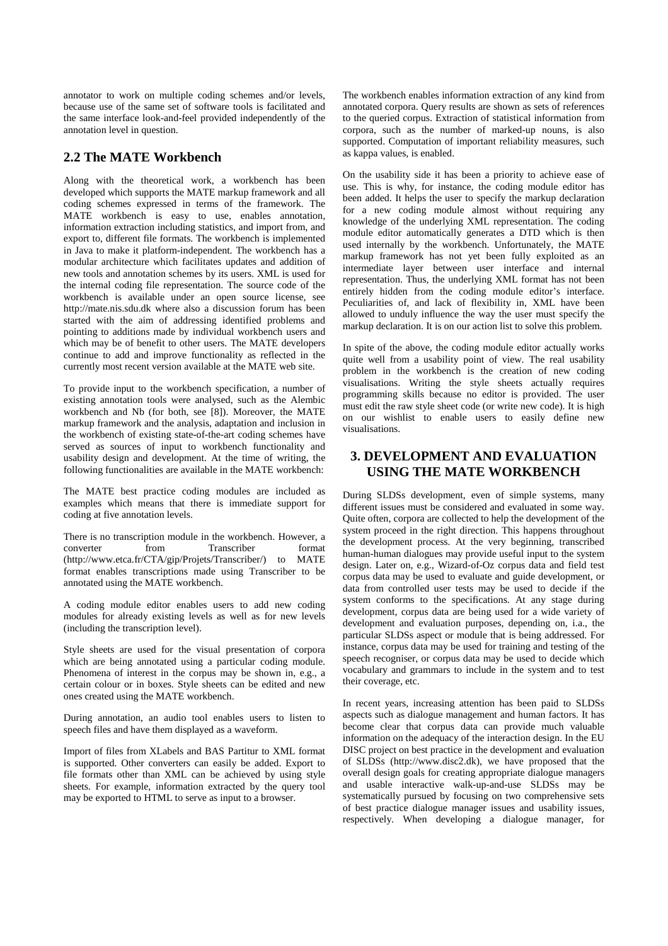annotator to work on multiple coding schemes and/or levels, because use of the same set of software tools is facilitated and the same interface look-and-feel provided independently of the annotation level in question.

#### **2.2 The MATE Workbench**

Along with the theoretical work, a workbench has been developed which supports the MATE markup framework and all coding schemes expressed in terms of the framework. The MATE workbench is easy to use, enables annotation, information extraction including statistics, and import from, and export to, different file formats. The workbench is implemented in Java to make it platform-independent. The workbench has a modular architecture which facilitates updates and addition of new tools and annotation schemes by its users. XML is used for the internal coding file representation. The source code of the workbench is available under an open source license, see http://mate.nis.sdu.dk where also a discussion forum has been started with the aim of addressing identified problems and pointing to additions made by individual workbench users and which may be of benefit to other users. The MATE developers continue to add and improve functionality as reflected in the currently most recent version available at the MATE web site.

To provide input to the workbench specification, a number of existing annotation tools were analysed, such as the Alembic workbench and Nb (for both, see [8]). Moreover, the MATE markup framework and the analysis, adaptation and inclusion in the workbench of existing state-of-the-art coding schemes have served as sources of input to workbench functionality and usability design and development. At the time of writing, the following functionalities are available in the MATE workbench:

The MATE best practice coding modules are included as examples which means that there is immediate support for coding at five annotation levels.

There is no transcription module in the workbench. However, a converter from Transcriber format (http://www.etca.fr/CTA/gip/Projets/Transcriber/) to MATE format enables transcriptions made using Transcriber to be annotated using the MATE workbench.

A coding module editor enables users to add new coding modules for already existing levels as well as for new levels (including the transcription level).

Style sheets are used for the visual presentation of corpora which are being annotated using a particular coding module. Phenomena of interest in the corpus may be shown in, e.g., a certain colour or in boxes. Style sheets can be edited and new ones created using the MATE workbench.

During annotation, an audio tool enables users to listen to speech files and have them displayed as a waveform.

Import of files from XLabels and BAS Partitur to XML format is supported. Other converters can easily be added. Export to file formats other than XML can be achieved by using style sheets. For example, information extracted by the query tool may be exported to HTML to serve as input to a browser.

The workbench enables information extraction of any kind from annotated corpora. Query results are shown as sets of references to the queried corpus. Extraction of statistical information from corpora, such as the number of marked-up nouns, is also supported. Computation of important reliability measures, such as kappa values, is enabled.

On the usability side it has been a priority to achieve ease of use. This is why, for instance, the coding module editor has been added. It helps the user to specify the markup declaration for a new coding module almost without requiring any knowledge of the underlying XML representation. The coding module editor automatically generates a DTD which is then used internally by the workbench. Unfortunately, the MATE markup framework has not yet been fully exploited as an intermediate layer between user interface and internal representation. Thus, the underlying XML format has not been entirely hidden from the coding module editor's interface. Peculiarities of, and lack of flexibility in, XML have been allowed to unduly influence the way the user must specify the markup declaration. It is on our action list to solve this problem.

In spite of the above, the coding module editor actually works quite well from a usability point of view. The real usability problem in the workbench is the creation of new coding visualisations. Writing the style sheets actually requires programming skills because no editor is provided. The user must edit the raw style sheet code (or write new code). It is high on our wishlist to enable users to easily define new visualisations.

#### **3. DEVELOPMENT AND EVALUATION USING THE MATE WORKBENCH**

During SLDSs development, even of simple systems, many different issues must be considered and evaluated in some way. Quite often, corpora are collected to help the development of the system proceed in the right direction. This happens throughout the development process. At the very beginning, transcribed human-human dialogues may provide useful input to the system design. Later on, e.g., Wizard-of-Oz corpus data and field test corpus data may be used to evaluate and guide development, or data from controlled user tests may be used to decide if the system conforms to the specifications. At any stage during development, corpus data are being used for a wide variety of development and evaluation purposes, depending on, i.a., the particular SLDSs aspect or module that is being addressed. For instance, corpus data may be used for training and testing of the speech recogniser, or corpus data may be used to decide which vocabulary and grammars to include in the system and to test their coverage, etc.

In recent years, increasing attention has been paid to SLDSs aspects such as dialogue management and human factors. It has become clear that corpus data can provide much valuable information on the adequacy of the interaction design. In the EU DISC project on best practice in the development and evaluation of SLDSs (http://www.disc2.dk), we have proposed that the overall design goals for creating appropriate dialogue managers and usable interactive walk-up-and-use SLDSs may be systematically pursued by focusing on two comprehensive sets of best practice dialogue manager issues and usability issues, respectively. When developing a dialogue manager, for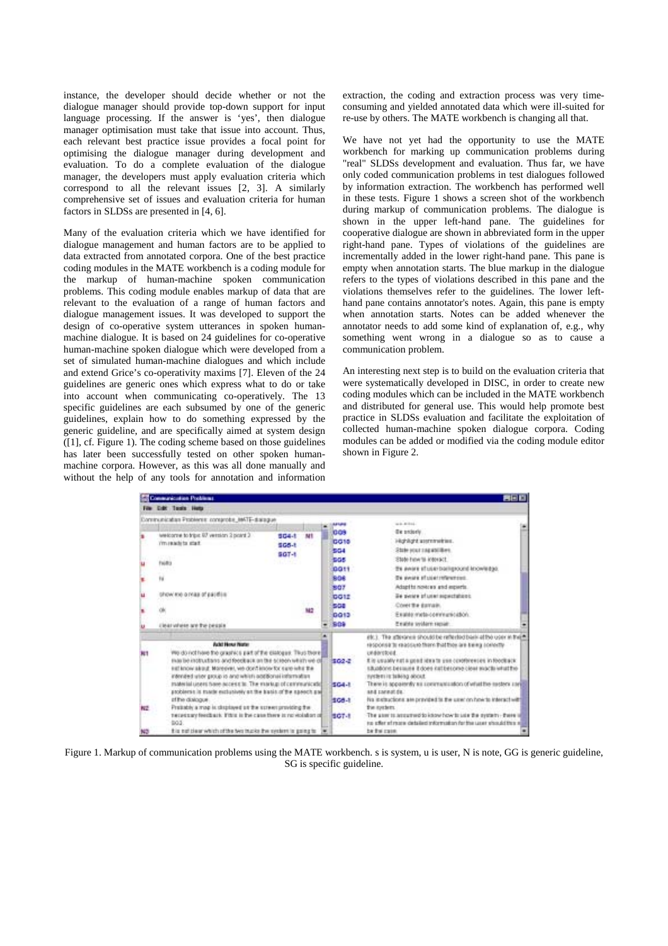instance, the developer should decide whether or not the dialogue manager should provide top-down support for input language processing. If the answer is 'yes', then dialogue manager optimisation must take that issue into account. Thus, each relevant best practice issue provides a focal point for optimising the dialogue manager during development and evaluation. To do a complete evaluation of the dialogue manager, the developers must apply evaluation criteria which correspond to all the relevant issues [2, 3]. A similarly comprehensive set of issues and evaluation criteria for human factors in SLDSs are presented in [4, 6].

Many of the evaluation criteria which we have identified for dialogue management and human factors are to be applied to data extracted from annotated corpora. One of the best practice coding modules in the MATE workbench is a coding module for the markup of human-machine spoken communication problems. This coding module enables markup of data that are relevant to the evaluation of a range of human factors and dialogue management issues. It was developed to support the design of co-operative system utterances in spoken humanmachine dialogue. It is based on 24 guidelines for co-operative human-machine spoken dialogue which were developed from a set of simulated human-machine dialogues and which include and extend Grice's co-operativity maxims [7]. Eleven of the 24 guidelines are generic ones which express what to do or take into account when communicating co-operatively. The 13 specific guidelines are each subsumed by one of the generic guidelines, explain how to do something expressed by the generic guideline, and are specifically aimed at system design ([1], cf. Figure 1). The coding scheme based on those guidelines has later been successfully tested on other spoken humanmachine corpora. However, as this was all done manually and without the help of any tools for annotation and information extraction, the coding and extraction process was very timeconsuming and yielded annotated data which were ill-suited for re-use by others. The MATE workbench is changing all that.

We have not yet had the opportunity to use the MATE workbench for marking up communication problems during "real" SLDSs development and evaluation. Thus far, we have only coded communication problems in test dialogues followed by information extraction. The workbench has performed well in these tests. Figure 1 shows a screen shot of the workbench during markup of communication problems. The dialogue is shown in the upper left-hand pane. The guidelines for cooperative dialogue are shown in abbreviated form in the upper right-hand pane. Types of violations of the guidelines are incrementally added in the lower right-hand pane. This pane is empty when annotation starts. The blue markup in the dialogue refers to the types of violations described in this pane and the violations themselves refer to the guidelines. The lower lefthand pane contains annotator's notes. Again, this pane is empty when annotation starts. Notes can be added whenever the annotator needs to add some kind of explanation of, e.g., why something went wrong in a dialogue so as to cause a communication problem.

An interesting next step is to build on the evaluation criteria that were systematically developed in DISC, in order to create new coding modules which can be included in the MATE workbench and distributed for general use. This would help promote best practice in SLDSs evaluation and facilitate the exploitation of collected human-machine spoken dialogue corpora. Coding modules can be added or modified via the coding module editor shown in Figure 2.

|                  | Communication Problems                                                                                                                                                                                                                                                                                                                                                                                                                                                                                                                                                                                                          |                                              |                                                                                                                               | <b>REE</b>                                                                                                                                                                                                                                                                                                                                                                                                                                                                                                                                                                                                                               |  |
|------------------|---------------------------------------------------------------------------------------------------------------------------------------------------------------------------------------------------------------------------------------------------------------------------------------------------------------------------------------------------------------------------------------------------------------------------------------------------------------------------------------------------------------------------------------------------------------------------------------------------------------------------------|----------------------------------------------|-------------------------------------------------------------------------------------------------------------------------------|------------------------------------------------------------------------------------------------------------------------------------------------------------------------------------------------------------------------------------------------------------------------------------------------------------------------------------------------------------------------------------------------------------------------------------------------------------------------------------------------------------------------------------------------------------------------------------------------------------------------------------------|--|
|                  | <b>File Calif Tarada Heltz</b>                                                                                                                                                                                                                                                                                                                                                                                                                                                                                                                                                                                                  |                                              |                                                                                                                               |                                                                                                                                                                                                                                                                                                                                                                                                                                                                                                                                                                                                                                          |  |
| u<br>33          | Communication Problems: conserobe_865TE-draingue<br>welcome to tripe 87 version 3 point 3<br>musklits dat.<br>fwill it<br>N<br>show no ornas of payment<br>(learwhere are the besis)                                                                                                                                                                                                                                                                                                                                                                                                                                            | MI<br>504-1<br>$505 - 1$<br>$907 - 1$<br>542 | 441,618<br>1009<br><b>DO18</b><br>504<br>ises.<br><b>DO</b> <sub>11</sub><br>SOR<br>807<br><b>DOTE</b><br>500<br>0013<br>\$04 | wa mitoù<br>De proterly<br>Highlight assnmenting.<br>State your capabilities.<br>State hinwits interact<br>29 Aware studer balliground knowledge.<br>To people of color reforement.<br>Adspitz nowces and experis.<br>Be sente sfuner repectations.<br>Cover the dumain.<br>Exable meta-conmunication.<br>Exable syddem repair.                                                                                                                                                                                                                                                                                                          |  |
| <b>JET</b><br>校正 | <b>Acki How Hotel</b><br>We do nothine the grashics part of the dialogue. Thus there<br>mas be instructans and feedback on the screen which we do<br>est know about. Moreover, vel-don't know for sure what the<br>intended user process and which additional information<br>material users have access to. The markup of communicate<br>problems in made exclusively at the basis of the speech par<br>of the dialogue.<br>Preliably a mop is displayed on the screen providing the<br>necessary feedback. If this is the case there is no existent of<br>bod.<br>this matches which of the feat trucks the mechanics gaing to |                                              | <b>ISO2-2</b><br><b>SC4-1</b><br>508-8<br><b>ISCT-R</b>                                                                       | etc.). The attention should be reflected basic at the year in the fill<br>response to reassure them that two are keep controlly<br>understood.<br>If in usually not a good idea to use contrivenies in foothack.<br>situations because it does suffercome clear machi-what two<br>nystem in talking about.<br>There is appairely as spectrustration of what the suders used<br>and career da.<br>No instructions are pravided to the user on how to interact with<br>the nectors.<br>The aten'ts accurred to know how to use the system - there is<br>to offer of more detailed information for the user should this all<br>be the case. |  |

Figure 1. Markup of communication problems using the MATE workbench. s is system, u is user, N is note, GG is generic guideline, SG is specific guideline.